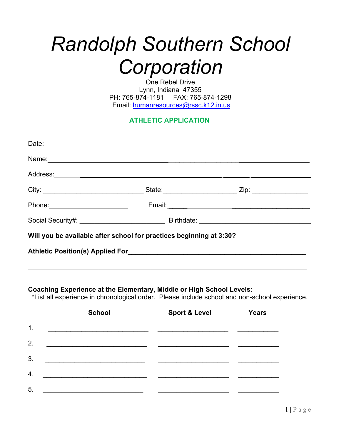# *Randolph Southern School Corporation*

One Rebel Drive Lynn, Indiana 47355 PH: 765-874-1181 FAX: 765-874-1298 Email: humanresources@rssc.k12.in.us

**ATHLETIC APPLICATION**

| Will you be available after school for practices beginning at 3:30? _____________ |  |
|-----------------------------------------------------------------------------------|--|
|                                                                                   |  |
|                                                                                   |  |
| Coaching Experience at the Elementary, Middle or High School Levels:              |  |
|                                                                                   |  |

\*List all experience in chronological order. Please include school and non-school experience.

|                  | <b>School</b> | <b>Sport &amp; Level</b> | <b>Years</b> |
|------------------|---------------|--------------------------|--------------|
| $\mathbf 1$ .    |               |                          |              |
| 2.               |               |                          |              |
| 3.               |               |                          |              |
| $\overline{4}$ . |               |                          |              |
| 5.               |               |                          |              |
|                  |               |                          |              |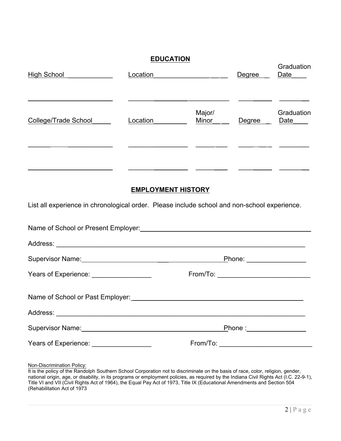### **EDUCATION**

| <b>High School</b>          | Location |                 | Degree | Graduation<br>Date |
|-----------------------------|----------|-----------------|--------|--------------------|
| <b>College/Trade School</b> | Location | Major/<br>Minor | Degree | Graduation<br>Date |
|                             |          |                 |        |                    |
|                             |          |                 |        |                    |
|                             |          |                 |        |                    |

#### **EMPLOYMENT HISTORY**

List all experience in chronological order. Please include school and non-school experience.

|                                          | Name of School or Present Employer:<br><u> Land Communication and Communications</u> and Communications and Communications and Communications and Communications and Communications and Communications and Communications and Communi |  |
|------------------------------------------|---------------------------------------------------------------------------------------------------------------------------------------------------------------------------------------------------------------------------------------|--|
|                                          |                                                                                                                                                                                                                                       |  |
|                                          | Phone: _________________                                                                                                                                                                                                              |  |
| Years of Experience: ___________________ | From/To: _________________________________                                                                                                                                                                                            |  |
|                                          |                                                                                                                                                                                                                                       |  |
|                                          |                                                                                                                                                                                                                                       |  |
|                                          | Phone :__________________                                                                                                                                                                                                             |  |
| Years of Experience: __________________  | From/To: ________________________________                                                                                                                                                                                             |  |
|                                          |                                                                                                                                                                                                                                       |  |

Non-Discrimination Policy:

It is the policy of the Randolph Southern School Corporation not to discriminate on the basis of race, color, religion, gender, national origin, age, or disability, in its programs or employment policies, as required by the Indiana Civil Rights Act (I.C. 22-9-1), Title VI and VII (Civil Rights Act of 1964), the Equal Pay Act of 1973, Title IX (Educational Amendments and Section 504 (Rehabilitation Act of 1973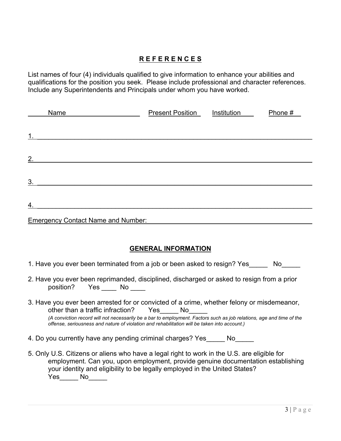#### **R E F E R E N C E S**

List names of four (4) individuals qualified to give information to enhance your abilities and qualifications for the position you seek. Please include professional and character references. Include any Superintendents and Principals under whom you have worked.

| Name             |                                           | <b>Present Position</b> | Institution | Phone # |
|------------------|-------------------------------------------|-------------------------|-------------|---------|
|                  |                                           |                         |             |         |
| 1.               |                                           |                         |             |         |
| 2.               |                                           |                         |             |         |
| 3.               |                                           |                         |             |         |
|                  |                                           |                         |             |         |
| $\overline{4}$ . |                                           |                         |             |         |
|                  | <b>Emergency Contact Name and Number:</b> |                         |             |         |

#### **GENERAL INFORMATION**

- 1. Have you ever been terminated from a job or been asked to resign? Yes No
- 2. Have you ever been reprimanded, disciplined, discharged or asked to resign from a prior position? Yes No
- 3. Have you ever been arrested for or convicted of a crime, whether felony or misdemeanor, other than a traffic infraction? Yes No *(A conviction record will not necessarily be a bar to employment. Factors such as job relations, age and time of the offense, seriousness and nature of violation and rehabilitation will be taken into account.)*
- 4. Do you currently have any pending criminal charges? Yes Mo
- 5. Only U.S. Citizens or aliens who have a legal right to work in the U.S. are eligible for employment. Can you, upon employment, provide genuine documentation establishing your identity and eligibility to be legally employed in the United States? Yes\_\_\_\_\_ No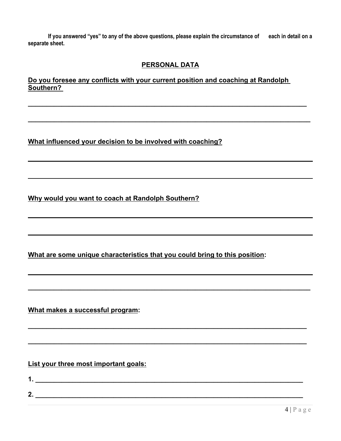**If you answered "yes" to any of the above questions, please explain the circumstance of each in detail on a separate sheet.**

#### **PERSONAL DATA**

**\_\_\_\_\_\_\_\_\_\_\_\_\_\_\_\_\_\_\_\_\_\_\_\_\_\_\_\_\_\_\_\_\_\_\_\_\_\_\_\_\_\_\_\_\_\_\_\_\_\_\_\_\_\_\_\_\_\_\_\_\_\_\_\_\_\_\_\_\_\_\_\_\_\_\_\_**

**\_\_\_\_\_\_\_\_\_\_\_\_\_\_\_\_\_\_\_\_\_\_\_\_\_\_\_\_\_\_\_\_\_\_\_\_\_\_\_\_\_\_\_\_\_\_\_\_\_\_\_\_\_\_\_\_\_\_\_\_\_\_\_\_\_\_\_\_\_\_\_\_\_\_\_\_**

**\_\_\_\_\_\_\_\_\_\_\_\_\_\_\_\_\_\_\_\_\_\_\_\_\_\_\_\_\_\_\_\_\_\_\_\_\_\_\_\_\_\_\_\_\_\_\_\_\_\_\_\_\_\_\_\_\_\_\_\_\_\_\_\_\_\_\_\_\_\_\_\_\_\_\_**

**\_\_\_\_\_\_\_\_\_\_\_\_\_\_\_\_\_\_\_\_\_\_\_\_\_\_\_\_\_\_\_\_\_\_\_\_\_\_\_\_\_\_\_\_\_\_\_\_\_\_\_\_\_\_\_\_\_\_\_\_\_\_\_\_\_\_\_\_\_\_\_\_\_\_\_**

## **Do you foresee any conflicts with your current position and coaching at Randolph Southern? \_\_\_\_\_\_\_\_\_\_\_\_\_\_\_\_\_\_\_\_\_\_\_\_\_\_\_\_\_\_\_\_\_\_\_\_\_\_\_\_\_\_\_\_\_\_\_\_\_\_\_\_\_\_\_\_\_\_\_\_\_\_\_\_\_\_\_\_\_\_\_\_\_\_\_**

**What influenced your decision to be involved with coaching?**

**Why would you want to coach at Randolph Southern?**

**What are some unique characteristics that you could bring to this position:**

**What makes a successful program:**

**List your three most important goals:**

**1. \_\_\_\_\_\_\_\_\_\_\_\_\_\_\_\_\_\_\_\_\_\_\_\_\_\_\_\_\_\_\_\_\_\_\_\_\_\_\_\_\_\_\_\_\_\_\_\_\_\_\_\_\_\_\_\_\_\_\_\_\_\_\_\_\_\_\_\_\_\_\_\_ 2. \_\_\_\_\_\_\_\_\_\_\_\_\_\_\_\_\_\_\_\_\_\_\_\_\_\_\_\_\_\_\_\_\_\_\_\_\_\_\_\_\_\_\_\_\_\_\_\_\_\_\_\_\_\_\_\_\_\_\_\_\_\_\_\_\_\_\_\_\_\_\_\_**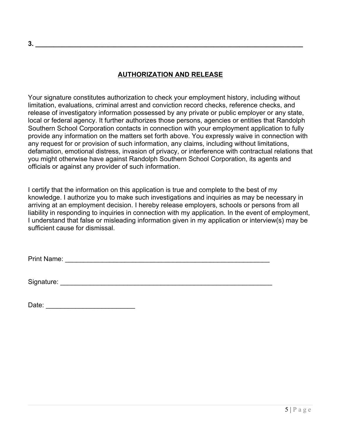#### **AUTHORIZATION AND RELEASE**

Your signature constitutes authorization to check your employment history, including without limitation, evaluations, criminal arrest and conviction record checks, reference checks, and release of investigatory information possessed by any private or public employer or any state, local or federal agency. It further authorizes those persons, agencies or entities that Randolph Southern School Corporation contacts in connection with your employment application to fully provide any information on the matters set forth above. You expressly waive in connection with any request for or provision of such information, any claims, including without limitations, defamation, emotional distress, invasion of privacy, or interference with contractual relations that you might otherwise have against Randolph Southern School Corporation, its agents and officials or against any provider of such information.

I certify that the information on this application is true and complete to the best of my knowledge. I authorize you to make such investigations and inquiries as may be necessary in arriving at an employment decision. I hereby release employers, schools or persons from all liability in responding to inquiries in connection with my application. In the event of employment, I understand that false or misleading information given in my application or interview(s) may be sufficient cause for dismissal.

Print Name: \_\_\_\_\_\_\_\_\_\_\_\_\_\_\_\_\_\_\_\_\_\_\_\_\_\_\_\_\_\_\_\_\_\_\_\_\_\_\_\_\_\_\_\_\_\_\_\_\_\_\_\_\_\_\_

Signature: \_\_\_\_\_\_\_\_\_\_\_\_\_\_\_\_\_\_\_\_\_\_\_\_\_\_\_\_\_\_\_\_\_\_\_\_\_\_\_\_\_\_\_\_\_\_\_\_\_\_\_\_\_\_\_\_\_

Date: \_\_\_\_\_\_\_\_\_\_\_\_\_\_\_\_\_\_\_\_\_\_\_\_

**3. \_\_\_\_\_\_\_\_\_\_\_\_\_\_\_\_\_\_\_\_\_\_\_\_\_\_\_\_\_\_\_\_\_\_\_\_\_\_\_\_\_\_\_\_\_\_\_\_\_\_\_\_\_\_\_\_\_\_\_\_\_\_\_\_\_\_\_\_\_\_\_\_**